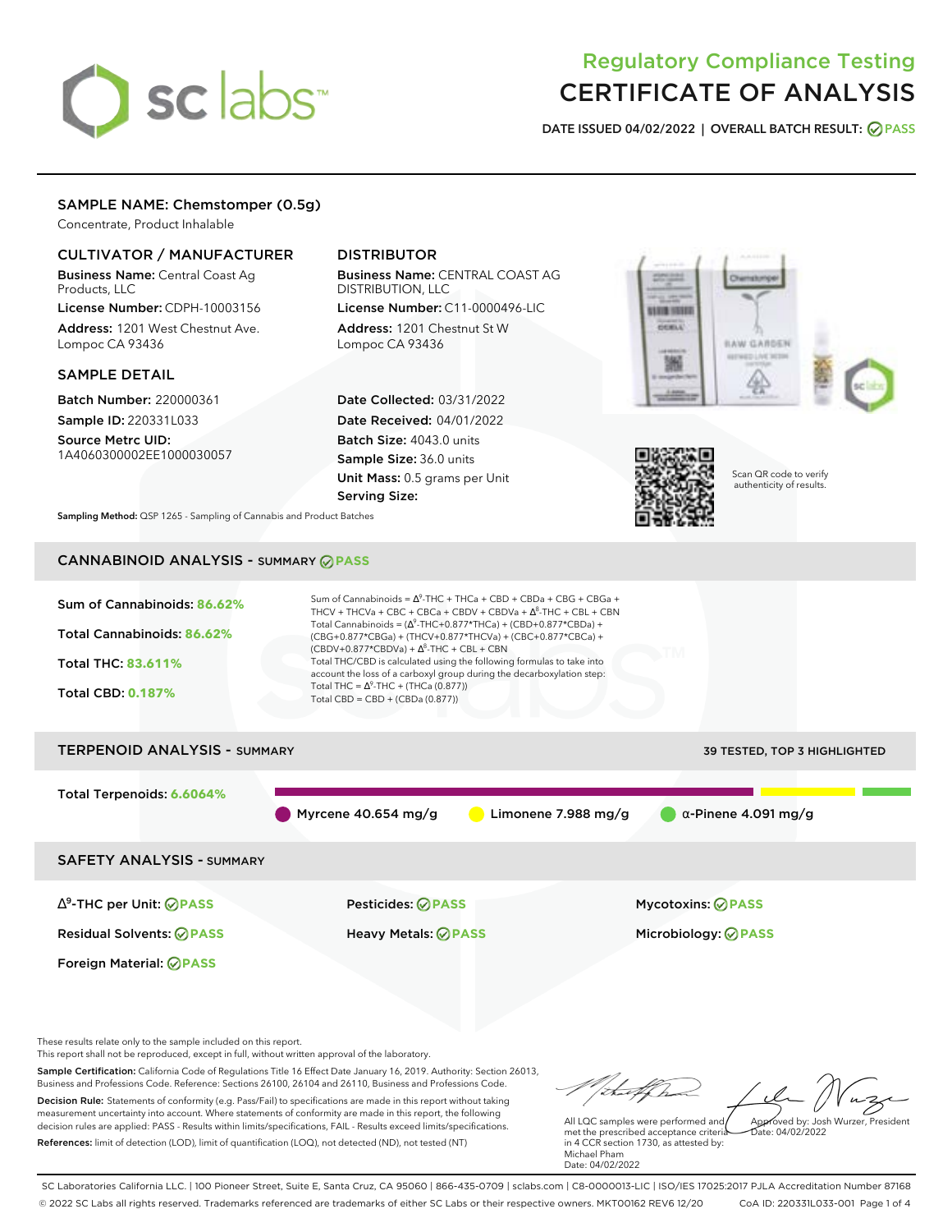# sclabs<sup>\*</sup>

# Regulatory Compliance Testing CERTIFICATE OF ANALYSIS

**DATE ISSUED 04/02/2022 | OVERALL BATCH RESULT: PASS**

# SAMPLE NAME: Chemstomper (0.5g)

Concentrate, Product Inhalable

# CULTIVATOR / MANUFACTURER

Business Name: Central Coast Ag Products, LLC

License Number: CDPH-10003156 Address: 1201 West Chestnut Ave. Lompoc CA 93436

## SAMPLE DETAIL

Batch Number: 220000361 Sample ID: 220331L033

Source Metrc UID: 1A4060300002EE1000030057

# DISTRIBUTOR

Business Name: CENTRAL COAST AG DISTRIBUTION, LLC

License Number: C11-0000496-LIC Address: 1201 Chestnut St W Lompoc CA 93436

Date Collected: 03/31/2022 Date Received: 04/01/2022 Batch Size: 4043.0 units Sample Size: 36.0 units Unit Mass: 0.5 grams per Unit Serving Size:





Scan QR code to verify authenticity of results.

**Sampling Method:** QSP 1265 - Sampling of Cannabis and Product Batches

# CANNABINOID ANALYSIS - SUMMARY **PASS**



These results relate only to the sample included on this report.

This report shall not be reproduced, except in full, without written approval of the laboratory.

Sample Certification: California Code of Regulations Title 16 Effect Date January 16, 2019. Authority: Section 26013, Business and Professions Code. Reference: Sections 26100, 26104 and 26110, Business and Professions Code. Decision Rule: Statements of conformity (e.g. Pass/Fail) to specifications are made in this report without taking measurement uncertainty into account. Where statements of conformity are made in this report, the following decision rules are applied: PASS - Results within limits/specifications, FAIL - Results exceed limits/specifications.

References: limit of detection (LOD), limit of quantification (LOQ), not detected (ND), not tested (NT)

tu of h Approved by: Josh Wurzer, President

 $\frac{1}{2}$ ate: 04/02/2022

All LQC samples were performed and met the prescribed acceptance criteria in 4 CCR section 1730, as attested by: Michael Pham Date: 04/02/2022

SC Laboratories California LLC. | 100 Pioneer Street, Suite E, Santa Cruz, CA 95060 | 866-435-0709 | sclabs.com | C8-0000013-LIC | ISO/IES 17025:2017 PJLA Accreditation Number 87168 © 2022 SC Labs all rights reserved. Trademarks referenced are trademarks of either SC Labs or their respective owners. MKT00162 REV6 12/20 CoA ID: 220331L033-001 Page 1 of 4